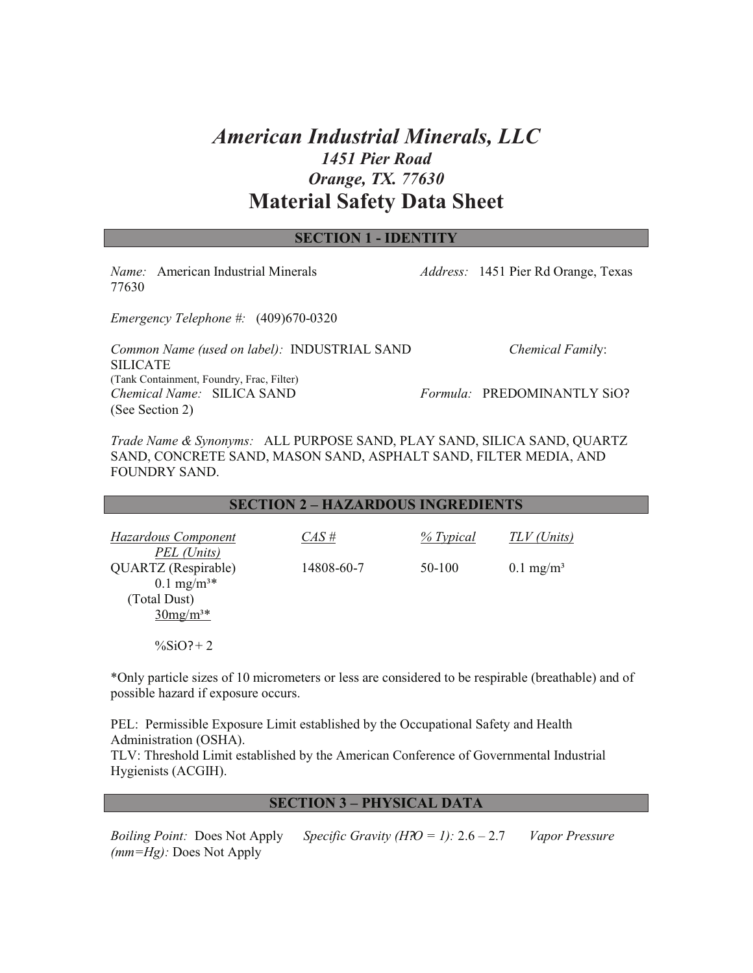# *American Industrial Minerals, LLC 1451 Pier Road Orange, TX. 77630* **Material Safety Data Sheet**

| <b>SECTION 1 - IDENTITY</b>                                                                       |  |                                            |  |  |
|---------------------------------------------------------------------------------------------------|--|--------------------------------------------|--|--|
| <i>Name:</i> American Industrial Minerals<br>77630                                                |  | <i>Address:</i> 1451 Pier Rd Orange, Texas |  |  |
| <i>Emergency Telephone #:</i> $(409)670-0320$                                                     |  |                                            |  |  |
| Common Name (used on label): INDUSTRIAL SAND<br><b>SILICATE</b>                                   |  | <b>Chemical Family:</b>                    |  |  |
| (Tank Containment, Foundry, Frac, Filter)<br><i>Chemical Name:</i> SILICA SAND<br>(See Section 2) |  | <i>Formula:</i> PREDOMINANTLY SiO?         |  |  |

*Trade Name & Synonyms:* ALL PURPOSE SAND, PLAY SAND, SILICA SAND, QUARTZ SAND, CONCRETE SAND, MASON SAND, ASPHALT SAND, FILTER MEDIA, AND FOUNDRY SAND.

#### **SECTION 2 – HAZARDOUS INGREDIENTS**

| <b>Hazardous Component</b><br>PEL (Units)      | $CAS \#$   | $\%$ Typical | TLV (Units)          |
|------------------------------------------------|------------|--------------|----------------------|
| QUARTZ (Respirable)<br>$0.1 \text{ mg/m}^{3*}$ | 14808-60-7 | 50-100       | $0.1 \text{ mg/m}^3$ |
| (Total Dust)<br>$30mg/m3*$                     |            |              |                      |
| $\frac{9}{6}$ SiO?+2                           |            |              |                      |

\*Only particle sizes of 10 micrometers or less are considered to be respirable (breathable) and of possible hazard if exposure occurs.

PEL: Permissible Exposure Limit established by the Occupational Safety and Health Administration (OSHA). TLV: Threshold Limit established by the American Conference of Governmental Industrial Hygienists (ACGIH).

#### **SECTION 3 – PHYSICAL DATA**

*Boiling Point:* Does Not Apply *Specific Gravity (H?O = 1):* 2.6 – 2.7 *Vapor Pressure (mm=Hg):* Does Not Apply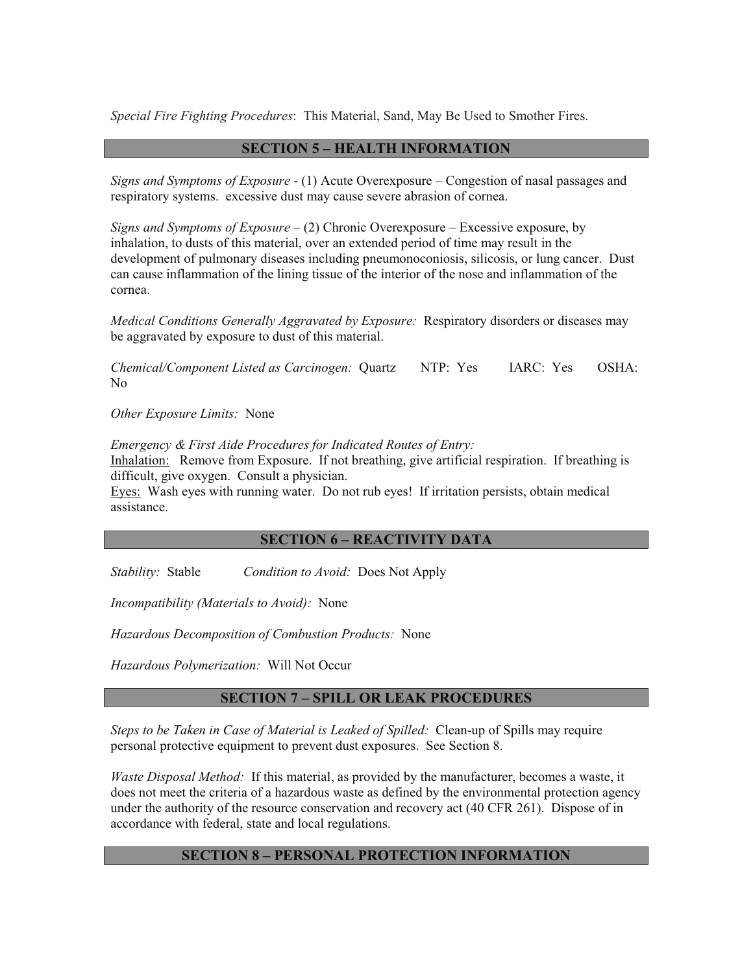*Special Fire Fighting Procedures*: This Material, Sand, May Be Used to Smother Fires.

### **SECTION 5 – HEALTH INFORMATION**

*Signs and Symptoms of Exposure* - (1) Acute Overexposure – Congestion of nasal passages and respiratory systems. excessive dust may cause severe abrasion of cornea.

*Signs and Symptoms of Exposure* – (2) Chronic Overexposure – Excessive exposure, by inhalation, to dusts of this material, over an extended period of time may result in the development of pulmonary diseases including pneumonoconiosis, silicosis, or lung cancer. Dust can cause inflammation of the lining tissue of the interior of the nose and inflammation of the cornea.

*Medical Conditions Generally Aggravated by Exposure:* Respiratory disorders or diseases may be aggravated by exposure to dust of this material.

*Chemical/Component Listed as Carcinogen:* Quartz NTP: Yes IARC: Yes OSHA: No

*Other Exposure Limits:* None

*Emergency & First Aide Procedures for Indicated Routes of Entry:*  Inhalation: Remove from Exposure. If not breathing, give artificial respiration. If breathing is difficult, give oxygen. Consult a physician.

Eyes: Wash eyes with running water. Do not rub eyes! If irritation persists, obtain medical assistance.

#### **SECTION 6 – REACTIVITY DATA**

*Stability:* Stable *Condition to Avoid:* Does Not Apply

*Incompatibility (Materials to Avoid):* None

*Hazardous Decomposition of Combustion Products:* None

*Hazardous Polymerization:* Will Not Occur

#### **SECTION 7 – SPILL OR LEAK PROCEDURES**

*Steps to be Taken in Case of Material is Leaked of Spilled:* Clean-up of Spills may require personal protective equipment to prevent dust exposures. See Section 8.

*Waste Disposal Method:* If this material, as provided by the manufacturer, becomes a waste, it does not meet the criteria of a hazardous waste as defined by the environmental protection agency under the authority of the resource conservation and recovery act (40 CFR 261). Dispose of in accordance with federal, state and local regulations.

## **SECTION 8 – PERSONAL PROTECTION INFORMATION**